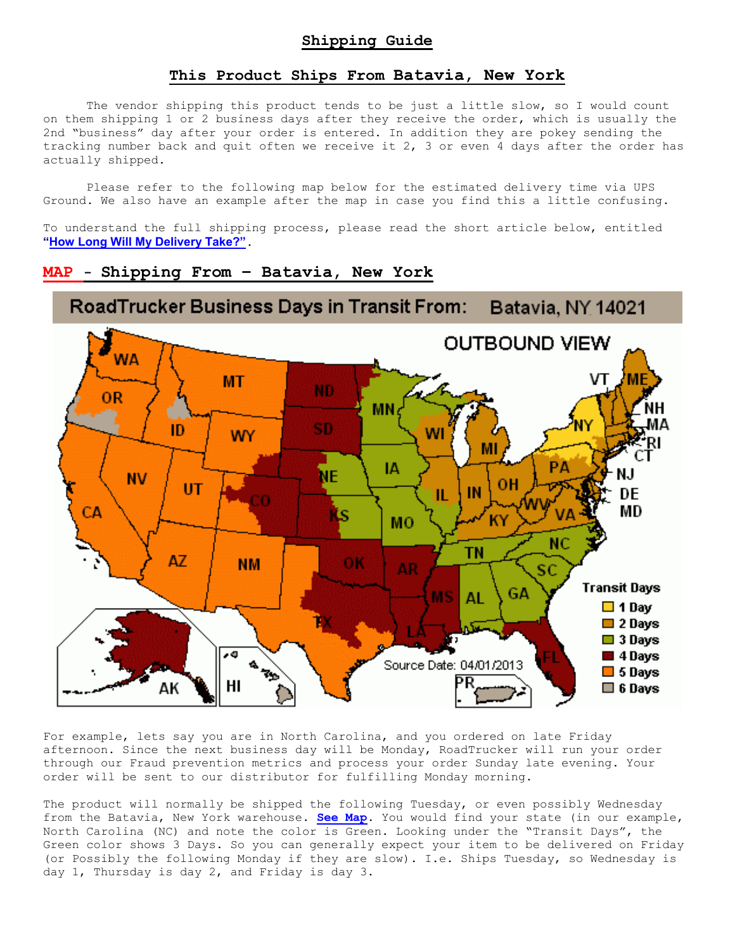## **This Product Ships From Batavia, New York**

The vendor shipping this product tends to be just a little slow, so I would count on them shipping 1 or 2 business days after they receive the order, which is usually the 2nd "business" day after your order is entered. In addition they are pokey sending the tracking number back and quit often we receive it 2, 3 or even 4 days after the order has actually shipped.

Please refer to the following map below for the estimated delivery time via UPS Ground. We also have an example after the map in case you find this a little confusing.

To understand the full shipping process, please read the short article below, entitled **"How Long Will My Delivery Take?"**.

## **MAP - Shipping From – Batavia, New York**



For example, lets say you are in North Carolina, and you ordered on late Friday afternoon. Since the next business day will be Monday, RoadTrucker will run your order through our Fraud prevention metrics and process your order Sunday late evening. Your order will be sent to our distributor for fulfilling Monday morning.

The product will normally be shipped the following Tuesday, or even possibly Wednesday from the Batavia, New York warehouse. **See Map.** You would find your state (in our example, North Carolina (NC) and note the color is Green. Looking under the "Transit Days", the Green color shows 3 Days. So you can generally expect your item to be delivered on Friday (or Possibly the following Monday if they are slow). I.e. Ships Tuesday, so Wednesday is day 1, Thursday is day 2, and Friday is day 3.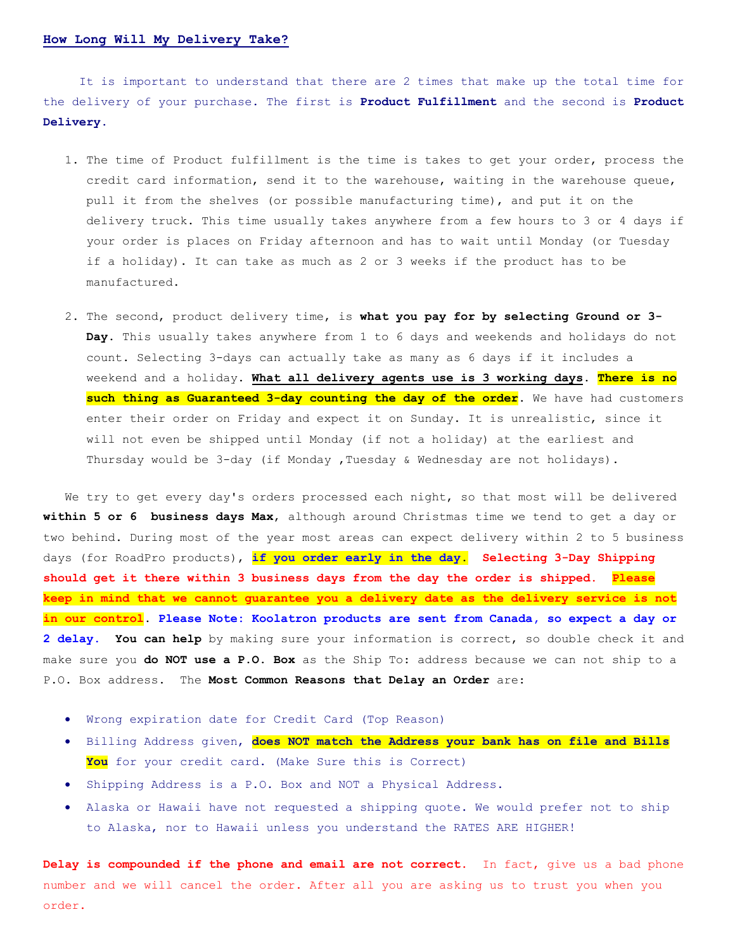## **How Long Will My Delivery Take?**

 It is important to understand that there are 2 times that make up the total time for the delivery of your purchase. The first is **Product Fulfillment** and the second is **Product Delivery.**

- 1. The time of Product fulfillment is the time is takes to get your order, process the credit card information, send it to the warehouse, waiting in the warehouse queue, pull it from the shelves (or possible manufacturing time), and put it on the delivery truck. This time usually takes anywhere from a few hours to 3 or 4 days if your order is places on Friday afternoon and has to wait until Monday (or Tuesday if a holiday). It can take as much as 2 or 3 weeks if the product has to be manufactured.
- 2. The second, product delivery time, is **what you pay for by selecting Ground or 3- Day**. This usually takes anywhere from 1 to 6 days and weekends and holidays do not count. Selecting 3-days can actually take as many as 6 days if it includes a weekend and a holiday. **What all delivery agents use is 3 working days**. **There is no such thing as Guaranteed 3-day counting the day of the order**. We have had customers enter their order on Friday and expect it on Sunday. It is unrealistic, since it will not even be shipped until Monday (if not a holiday) at the earliest and Thursday would be 3-day (if Monday , Tuesday & Wednesday are not holidays).

We try to get every day's orders processed each night, so that most will be delivered **within 5 or 6 business days Max**, although around Christmas time we tend to get a day or two behind. During most of the year most areas can expect delivery within 2 to 5 business days (for RoadPro products), **if you order early in the day. Selecting 3-Day Shipping should get it there within 3 business days from the day the order is shipped. Please keep in mind that we cannot guarantee you a delivery date as the delivery service is not in our control**. **Please Note: Koolatron products are sent from Canada, so expect a day or 2 delay. You can help** by making sure your information is correct, so double check it and make sure you **do NOT use a P.O. Box** as the Ship To: address because we can not ship to a P.O. Box address. The **Most Common Reasons that Delay an Order** are:

- Wrong expiration date for Credit Card (Top Reason)
- Billing Address given, **does NOT match the Address your bank has on file and Bills You** for your credit card. (Make Sure this is Correct)
- Shipping Address is a P.O. Box and NOT a Physical Address.
- Alaska or Hawaii have not requested a shipping quote. We would prefer not to ship to Alaska, nor to Hawaii unless you understand the RATES ARE HIGHER!

**Delay is compounded if the phone and email are not correct.** In fact, give us a bad phone number and we will cancel the order. After all you are asking us to trust you when you order.